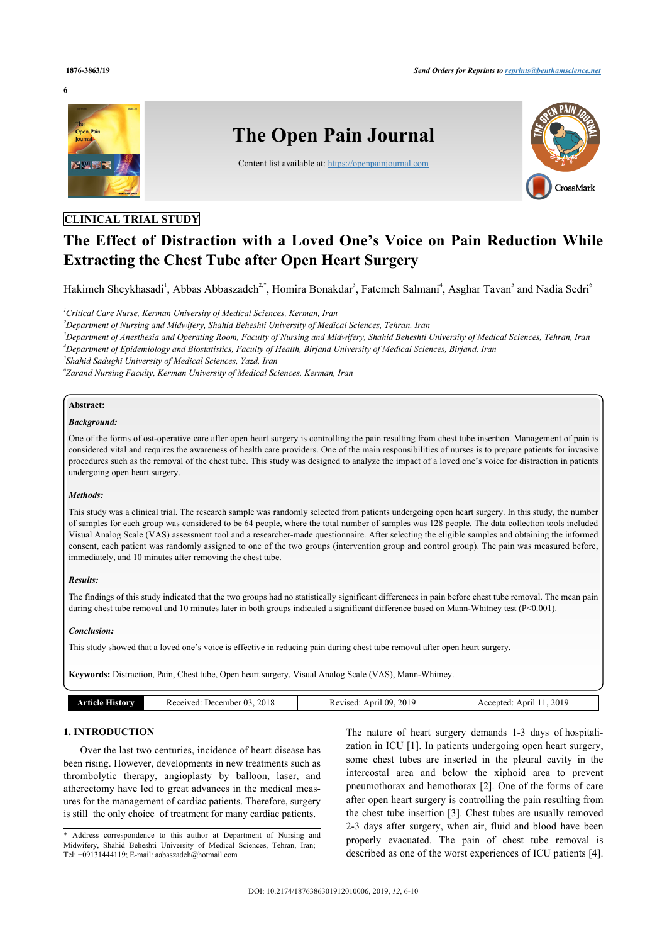

# **CLINICAL TRIAL STUDY**

# **The Effect of Distraction with a Loved One's Voice on Pain Reduction While Extracting the Chest Tube after Open Heart Surgery**

Hakimeh Sheykhasadi<sup>[1](#page-0-0)</sup>, Abbas Abbaszadeh<sup>[2](#page-0-1)[,\\*](#page-0-2)</sup>, Homira Bonakdar<sup>[3](#page-0-3)</sup>, Fatemeh Salmani<sup>[4](#page-0-4)</sup>, Asghar Tavan<sup>[5](#page--1-0)</sup> and Nadia Sedri<sup>[6](#page--1-0)</sup>

<span id="page-0-0"></span>*<sup>1</sup>Critical Care Nurse, Kerman University of Medical Sciences, Kerman, Iran*

<span id="page-0-1"></span>*<sup>2</sup>Department of Nursing and Midwifery, Shahid Beheshti University of Medical Sciences, Tehran, Iran*

<span id="page-0-3"></span>*<sup>3</sup>Department of Anesthesia and Operating Room, Faculty of Nursing and Midwifery, Shahid Beheshti University of Medical Sciences, Tehran, Iran <sup>4</sup>Department of Epidemiology and Biostatistics, Faculty of Health, Birjand University of Medical Sciences, Birjand, Iran*

*5 Shahid Sadughi University of Medical Sciences, Yazd, Iran*

<span id="page-0-4"></span>*6 Zarand Nursing Faculty, Kerman University of Medical Sciences, Kerman, Iran*

#### **Abstract:**

# *Background:*

One of the forms of ost-operative care after open heart surgery is controlling the pain resulting from chest tube insertion. Management of pain is considered vital and requires the awareness of health care providers. One of the main responsibilities of nurses is to prepare patients for invasive procedures such as the removal of the chest tube. This study was designed to analyze the impact of a loved one's voice for distraction in patients undergoing open heart surgery.

#### *Methods:*

This study was a clinical trial. The research sample was randomly selected from patients undergoing open heart surgery. In this study, the number of samples for each group was considered to be 64 people, where the total number of samples was 128 people. The data collection tools included Visual Analog Scale (VAS) assessment tool and a researcher-made questionnaire. After selecting the eligible samples and obtaining the informed consent, each patient was randomly assigned to one of the two groups (intervention group and control group). The pain was measured before, immediately, and 10 minutes after removing the chest tube.

#### *Results:*

The findings of this study indicated that the two groups had no statistically significant differences in pain before chest tube removal. The mean pain during chest tube removal and 10 minutes later in both groups indicated a significant difference based on Mann-Whitney test (P<0.001).

#### *Conclusion:*

This study showed that a loved one's voice is effective in reducing pain during chest tube removal after open heart surgery.

**Keywords:** Distraction, Pain, Chest tube, Open heart surgery, Visual Analog Scale (VAS), Mann-Whitney.

| Article History | 2018<br>December 03.<br>Received: | 2019<br>April 09.<br>evised: | 2019<br>Anril<br>ccented . |
|-----------------|-----------------------------------|------------------------------|----------------------------|
|                 |                                   |                              |                            |

# **1. INTRODUCTION**

Over the last two centuries, incidence of heart disease has been rising. However, developments in new treatments such as thrombolytic therapy, angioplasty by balloon, laser, and atherectomy have led to great advances in the medical measures for the management of cardiac patients. Therefore, surgery is still the only choice of treatment for many cardiac patients.

The nature of heart surgery demands 1-3 days of hospitalization in ICU [\[1\]](#page-3-0). In patients undergoing open heart surgery, some chest tubes are inserted in the pleural cavity in the intercostal area and below the xiphoid area to prevent pneumothorax and hemothorax [[2](#page-3-1)]. One of the forms of care after open heart surgery is controlling the pain resulting from the chest tube insertion [[3](#page-3-2)]. Chest tubes are usually removed 2-3 days after surgery, when air, fluid and blood have been properly evacuated. The pain of chest tube removal is described as one of the worst experiences of ICU patients [[4](#page-3-3)].

<span id="page-0-2"></span><sup>\*</sup> Address correspondence to this author at Department of Nursing and Midwifery, Shahid Beheshti University of Medical Sciences, Tehran, Iran; Tel: +09131444119; E-mail: [aabaszadeh@hotmail.com](mailto:aabaszadeh@hotmail.com)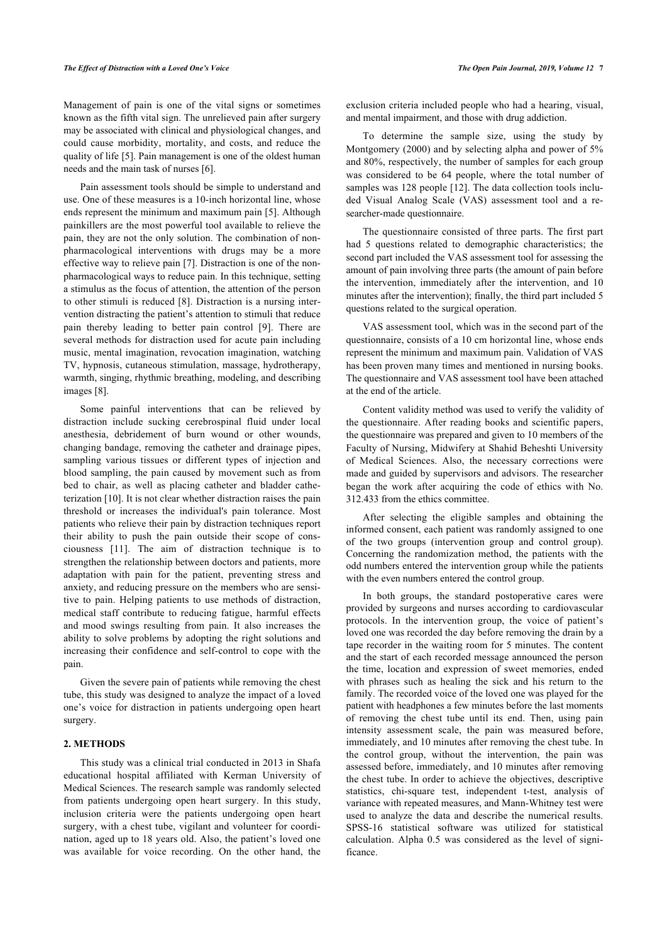#### *The Effect of Distraction with a Loved One's Voice The Open Pain Journal, 2019, Volume 12* **7**

Management of pain is one of the vital signs or sometimes known as the fifth vital sign. The unrelieved pain after surgery may be associated with clinical and physiological changes, and could cause morbidity, mortality, and costs, and reduce the quality of life [[5](#page-3-4)]. Pain management is one of the oldest human needs and the main task of nurses [[6](#page-3-5)].

Pain assessment tools should be simple to understand and use. One of these measures is a 10-inch horizontal line, whose ends represent the minimum and maximum pain [[5](#page-3-4)]. Although painkillers are the most powerful tool available to relieve the pain, they are not the only solution. The combination of nonpharmacological interventions with drugs may be a more effective way to relieve pain [[7](#page-3-6)]. Distraction is one of the nonpharmacological ways to reduce pain. In this technique, setting a stimulus as the focus of attention, the attention of the person to other stimuli is reduced [\[8\]](#page-3-7). Distraction is a nursing intervention distracting the patient's attention to stimuli that reduce pain thereby leading to better pain control[[9\]](#page-3-8). There are several methods for distraction used for acute pain including music, mental imagination, revocation imagination, watching TV, hypnosis, cutaneous stimulation, massage, hydrotherapy, warmth, singing, rhythmic breathing, modeling, and describing images [\[8\]](#page-3-7).

Some painful interventions that can be relieved by distraction include sucking cerebrospinal fluid under local anesthesia, debridement of burn wound or other wounds, changing bandage, removing the catheter and drainage pipes, sampling various tissues or different types of injection and blood sampling, the pain caused by movement such as from bed to chair, as well as placing catheter and bladder catheterization [\[10](#page-3-9)]. It is not clear whether distraction raises the pain threshold or increases the individual's pain tolerance. Most patients who relieve their pain by distraction techniques report their ability to push the pain outside their scope of consciousness[[11\]](#page-3-10). The aim of distraction technique is to strengthen the relationship between doctors and patients, more adaptation with pain for the patient, preventing stress and anxiety, and reducing pressure on the members who are sensitive to pain. Helping patients to use methods of distraction, medical staff contribute to reducing fatigue, harmful effects and mood swings resulting from pain. It also increases the ability to solve problems by adopting the right solutions and increasing their confidence and self-control to cope with the pain.

Given the severe pain of patients while removing the chest tube, this study was designed to analyze the impact of a loved one's voice for distraction in patients undergoing open heart surgery.

### **2. METHODS**

This study was a clinical trial conducted in 2013 in Shafa educational hospital affiliated with Kerman University of Medical Sciences. The research sample was randomly selected from patients undergoing open heart surgery. In this study, inclusion criteria were the patients undergoing open heart surgery, with a chest tube, vigilant and volunteer for coordination, aged up to 18 years old. Also, the patient's loved one was available for voice recording. On the other hand, the

exclusion criteria included people who had a hearing, visual, and mental impairment, and those with drug addiction.

To determine the sample size, using the study by Montgomery (2000) and by selecting alpha and power of 5% and 80%, respectively, the number of samples for each group was considered to be 64 people, where the total number of samples was [12](#page-3-11)8 people [12]. The data collection tools included Visual Analog Scale (VAS) assessment tool and a researcher-made questionnaire.

The questionnaire consisted of three parts. The first part had 5 questions related to demographic characteristics; the second part included the VAS assessment tool for assessing the amount of pain involving three parts (the amount of pain before the intervention, immediately after the intervention, and 10 minutes after the intervention); finally, the third part included 5 questions related to the surgical operation.

VAS assessment tool, which was in the second part of the questionnaire, consists of a 10 cm horizontal line, whose ends represent the minimum and maximum pain. Validation of VAS has been proven many times and mentioned in nursing books. The questionnaire and VAS assessment tool have been attached at the end of the article.

Content validity method was used to verify the validity of the questionnaire. After reading books and scientific papers, the questionnaire was prepared and given to 10 members of the Faculty of Nursing, Midwifery at Shahid Beheshti University of Medical Sciences. Also, the necessary corrections were made and guided by supervisors and advisors. The researcher began the work after acquiring the code of ethics with No. 312.433 from the ethics committee.

After selecting the eligible samples and obtaining the informed consent, each patient was randomly assigned to one of the two groups (intervention group and control group). Concerning the randomization method, the patients with the odd numbers entered the intervention group while the patients with the even numbers entered the control group.

In both groups, the standard postoperative cares were provided by surgeons and nurses according to cardiovascular protocols. In the intervention group, the voice of patient's loved one was recorded the day before removing the drain by a tape recorder in the waiting room for 5 minutes. The content and the start of each recorded message announced the person the time, location and expression of sweet memories, ended with phrases such as healing the sick and his return to the family. The recorded voice of the loved one was played for the patient with headphones a few minutes before the last moments of removing the chest tube until its end. Then, using pain intensity assessment scale, the pain was measured before, immediately, and 10 minutes after removing the chest tube. In the control group, without the intervention, the pain was assessed before, immediately, and 10 minutes after removing the chest tube. In order to achieve the objectives, descriptive statistics, chi-square test, independent t-test, analysis of variance with repeated measures, and Mann-Whitney test were used to analyze the data and describe the numerical results. SPSS-16 statistical software was utilized for statistical calculation. Alpha 0.5 was considered as the level of significance.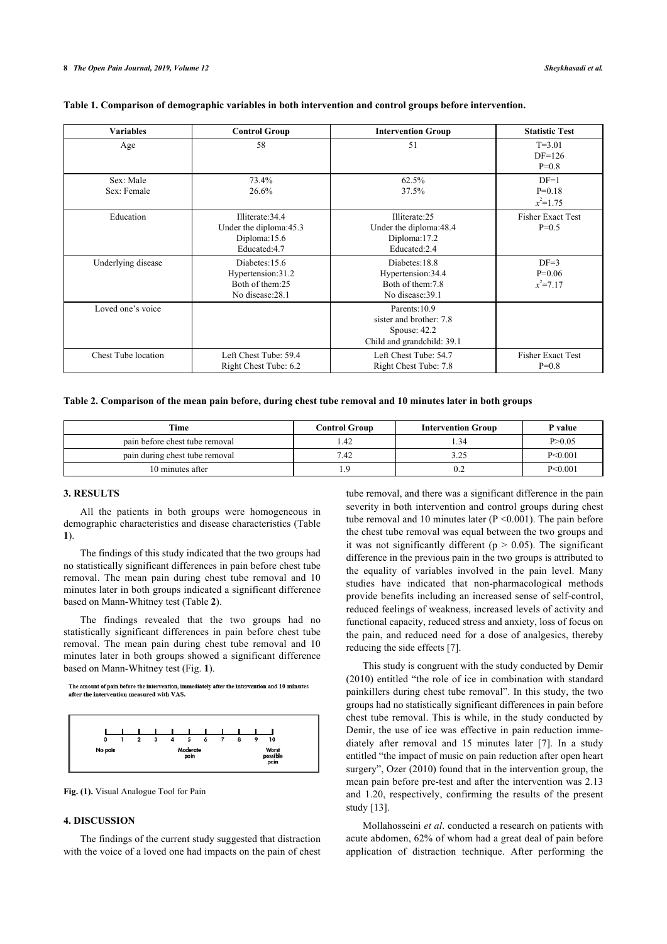| <b>Variables</b>           | <b>Control Group</b>                                                        | <b>Intervention Group</b>                                                                | <b>Statistic Test</b>               |
|----------------------------|-----------------------------------------------------------------------------|------------------------------------------------------------------------------------------|-------------------------------------|
| Age                        | 58                                                                          | 51                                                                                       | $T = 3.01$<br>$DF=126$<br>$P=0.8$   |
| Sex: Male<br>Sex: Female   | 73.4%<br>26.6%                                                              | 62.5%<br>37.5%                                                                           | $DF=1$<br>$P=0.18$<br>$x^2=1.75$    |
| Education                  | Illiterate: 34.4<br>Under the diploma: 45.3<br>Diploma:15.6<br>Educated:4.7 | Illiterate:25<br>Under the diploma: 48.4<br>Diploma:17.2<br>Educated:2.4                 | <b>Fisher Exact Test</b><br>$P=0.5$ |
| Underlying disease         | Diabetes: 15.6<br>Hypertension:31.2<br>Both of them:25<br>No disease: 28.1  | Diabetes: 18.8<br>Hypertension: 34.4<br>Both of them: 7.8<br>No disease: 39.1            | $DF=3$<br>$P=0.06$<br>$x^2=7.17$    |
| Loved one's voice          |                                                                             | Parents: 10.9<br>sister and brother: 7.8<br>Spouse: $42.2$<br>Child and grandchild: 39.1 |                                     |
| <b>Chest Tube location</b> | Left Chest Tube: 59.4<br>Right Chest Tube: 6.2                              | Left Chest Tube: 54.7<br>Right Chest Tube: 7.8                                           | <b>Fisher Exact Test</b><br>$P=0.8$ |

# <span id="page-2-0"></span>**Table 1. Comparison of demographic variables in both intervention and control groups before intervention.**

<span id="page-2-1"></span>**Table 2. Comparison of the mean pain before, during chest tube removal and 10 minutes later in both groups**

| Time                           | Control Group | <b>Intervention Group</b> | P value  |
|--------------------------------|---------------|---------------------------|----------|
| pain before chest tube removal | .42           | 34                        | P > 0.05 |
| pain during chest tube removal | 7.42          | 2 つく                      | P< 0.001 |
| 10 minutes after               |               | v.∠                       | P<0.001  |

#### **3. RESULTS**

All the patients in both groups were homogeneous in demographic characteristics and disease characteristics (Table **[1](#page-2-0)**).

The findings of this study indicated that the two groups had no statistically significant differences in pain before chest tube removal. The mean pain during chest tube removal and 10 minutes later in both groups indicated a significant difference based on Mann-Whitney test (Table **[2](#page-2-1)**).

The findings revealed that the two groups had no statistically significant differences in pain before chest tube removal. The mean pain during chest tube removal and 10 minutes later in both groups showed a significant difference based on Mann-Whitney test (Fig. **[1](#page--1-0)**).

The amount of pain before the intervention, immediately after the intervention and 10 minutes after the intervention measured with VAS.



**Fig. (1).** Visual Analogue Tool for Pain

### **4. DISCUSSION**

The findings of the current study suggested that distraction with the voice of a loved one had impacts on the pain of chest tube removal, and there was a significant difference in the pain severity in both intervention and control groups during chest tube removal and 10 minutes later ( $P \le 0.001$ ). The pain before the chest tube removal was equal between the two groups and it was not significantly different ( $p > 0.05$ ). The significant difference in the previous pain in the two groups is attributed to the equality of variables involved in the pain level. Many studies have indicated that non-pharmacological methods provide benefits including an increased sense of self-control, reduced feelings of weakness, increased levels of activity and functional capacity, reduced stress and anxiety, loss of focus on the pain, and reduced need for a dose of analgesics, thereby reducing the side effects [[7](#page-3-6)].

This study is congruent with the study conducted by Demir (2010) entitled "the role of ice in combination with standard painkillers during chest tube removal". In this study, the two groups had no statistically significant differences in pain before chest tube removal. This is while, in the study conducted by Demir, the use of ice was effective in pain reduction immediately after removal and 15 minutes later[[7](#page-3-6)]. In a study entitled "the impact of music on pain reduction after open heart surgery", Ozer (2010) found that in the intervention group, the mean pain before pre-test and after the intervention was 2.13 and 1.20, respectively, confirming the results of the present study [[13\]](#page-4-0).

Mollahosseini *et al*. conducted a research on patients with acute abdomen, 62% of whom had a great deal of pain before application of distraction technique. After performing the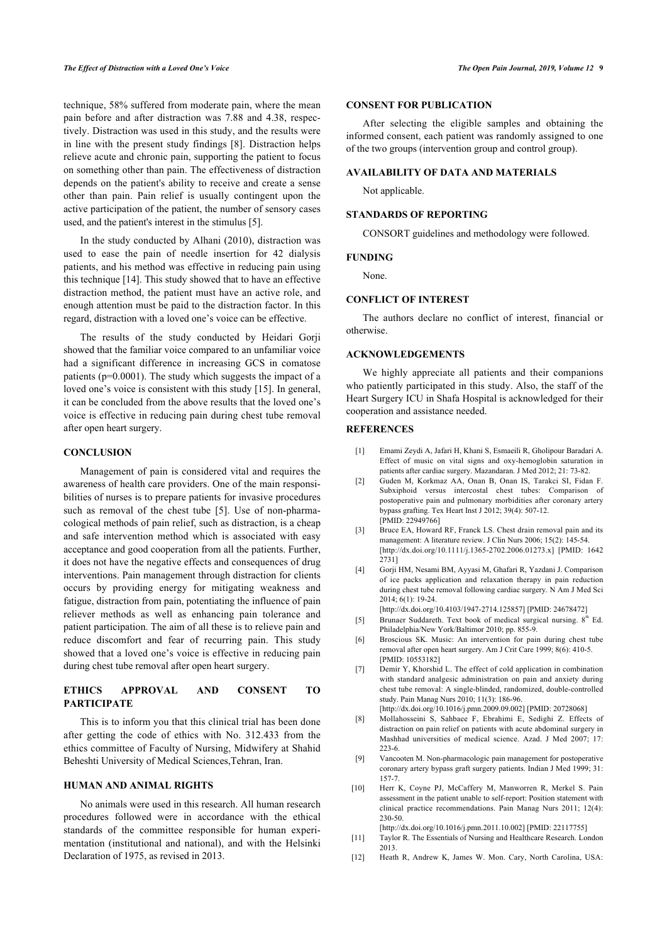technique, 58% suffered from moderate pain, where the mean pain before and after distraction was 7.88 and 4.38, respectively. Distraction was used in this study, and the results were in line with the present study findings [[8\]](#page-3-7). Distraction helps relieve acute and chronic pain, supporting the patient to focus on something other than pain. The effectiveness of distraction depends on the patient's ability to receive and create a sense other than pain. Pain relief is usually contingent upon the active participation of the patient, the number of sensory cases used, and the patient's interest in the stimulus [\[5\]](#page-3-4).

In the study conducted by Alhani (2010), distraction was used to ease the pain of needle insertion for 42 dialysis patients, and his method was effective in reducing pain using this technique [[14\]](#page-4-1). This study showed that to have an effective distraction method, the patient must have an active role, and enough attention must be paid to the distraction factor. In this regard, distraction with a loved one's voice can be effective.

The results of the study conducted by Heidari Gorji showed that the familiar voice compared to an unfamiliar voice had a significant difference in increasing GCS in comatose patients (p=0.0001). The study which suggests the impact of a loved one's voice is consistent with this study [\[15](#page-4-2)]. In general, it can be concluded from the above results that the loved one's voice is effective in reducing pain during chest tube removal after open heart surgery.

#### <span id="page-3-0"></span>**CONCLUSION**

<span id="page-3-3"></span><span id="page-3-2"></span><span id="page-3-1"></span>Management of pain is considered vital and requires the awareness of health care providers. One of the main responsibilities of nurses is to prepare patients for invasive procedures such as removal of the chest tube [\[5\]](#page-3-4). Use of non-pharmacological methods of pain relief, such as distraction, is a cheap and safe intervention method which is associated with easy acceptance and good cooperation from all the patients. Further, it does not have the negative effects and consequences of drug interventions. Pain management through distraction for clients occurs by providing energy for mitigating weakness and fatigue, distraction from pain, potentiating the influence of pain reliever methods as well as enhancing pain tolerance and patient participation. The aim of all these is to relieve pain and reduce discomfort and fear of recurring pain. This study showed that a loved one's voice is effective in reducing pain during chest tube removal after open heart surgery.

# <span id="page-3-6"></span><span id="page-3-5"></span><span id="page-3-4"></span>**ETHICS APPROVAL AND CONSENT TO PARTICIPATE**

<span id="page-3-7"></span>This is to inform you that this clinical trial has been done after getting the code of ethics with No. 312.433 from the ethics committee of Faculty of Nursing, Midwifery at Shahid Beheshti University of Medical Sciences,Tehran, Iran.

### <span id="page-3-9"></span><span id="page-3-8"></span>**HUMAN AND ANIMAL RIGHTS**

<span id="page-3-11"></span><span id="page-3-10"></span>No animals were used in this research. All human research procedures followed were in accordance with the ethical standards of the committee responsible for human experimentation (institutional and national), and with the Helsinki Declaration of 1975, as revised in 2013.

# **CONSENT FOR PUBLICATION**

After selecting the eligible samples and obtaining the informed consent, each patient was randomly assigned to one of the two groups (intervention group and control group).

#### **AVAILABILITY OF DATA AND MATERIALS**

Not applicable.

# **STANDARDS OF REPORTING**

CONSORT guidelines and methodology were followed.

#### **FUNDING**

None.

#### **CONFLICT OF INTEREST**

The authors declare no conflict of interest, financial or otherwise.

#### **ACKNOWLEDGEMENTS**

We highly appreciate all patients and their companions who patiently participated in this study. Also, the staff of the Heart Surgery ICU in Shafa Hospital is acknowledged for their cooperation and assistance needed.

# **REFERENCES**

- [1] Emami Zeydi A, Jafari H, Khani S, Esmaeili R, Gholipour Baradari A. Effect of music on vital signs and oxy-hemoglobin saturation in patients after cardiac surgery. Mazandaran. J Med 2012; 21: 73-82.
- [2] Guden M, Korkmaz AA, Onan B, Onan IS, Tarakci SI, Fidan F. Subxiphoid versus intercostal chest tubes: Comparison of postoperative pain and pulmonary morbidities after coronary artery bypass grafting. Tex Heart Inst J 2012; 39(4): 507-12. [PMID: [22949766\]](http://www.ncbi.nlm.nih.gov/pubmed/22949766)
- [3] Bruce EA, Howard RF, Franck LS. Chest drain removal pain and its management: A literature review. J Clin Nurs 2006; 15(2): 145-54. [\[http://dx.doi.org/10.1111/j.1365-2702.2006.01273.x](http://dx.doi.org/10.1111/j.1365-2702.2006.01273.x)] [PMID: [1642](http://www.ncbi.nlm.nih.gov/pubmed/1642%202731) [2731\]](http://www.ncbi.nlm.nih.gov/pubmed/1642%202731)
- [4] Gorji HM, Nesami BM, Ayyasi M, Ghafari R, Yazdani J. Comparison of ice packs application and relaxation therapy in pain reduction during chest tube removal following cardiac surgery. N Am J Med Sci 2014; 6(1): 19-24.
- [\[http://dx.doi.org/10.4103/1947-2714.125857\]](http://dx.doi.org/10.4103/1947-2714.125857) [PMID: [24678472](http://www.ncbi.nlm.nih.gov/pubmed/24678472)] [5] Brunaer Suddareth. Text book of medical surgical nursing. 8<sup>th</sup> Ed.
- Philadelphia/New York/Baltimor 2010; pp. 855-9. [6] Broscious SK. Music: An intervention for pain during chest tube removal after open heart surgery. Am J Crit Care 1999; 8(6): 410-5. [PMID: [10553182\]](http://www.ncbi.nlm.nih.gov/pubmed/10553182)
- [7] Demir Y, Khorshid L. The effect of cold application in combination with standard analgesic administration on pain and anxiety during chest tube removal: A single-blinded, randomized, double-controlled study. Pain Manag Nurs 2010; 11(3): 186-96.
- [\[http://dx.doi.org/10.1016/j.pmn.2009.09.002](http://dx.doi.org/10.1016/j.pmn.2009.09.002)] [PMID: [20728068\]](http://www.ncbi.nlm.nih.gov/pubmed/20728068) [8] Mollahosseini S, Sahbaee F, Ebrahimi E, Sedighi Z. Effects of distraction on pain relief on patients with acute abdominal surgery in Mashhad universities of medical science. Azad. J Med 2007; 17: 223-6.
- [9] Vancooten M. Non-pharmacologic pain management for postoperative coronary artery bypass graft surgery patients. Indian J Med 1999; 31: 157-7.
- [10] Herr K, Coyne PJ, McCaffery M, Manworren R, Merkel S. Pain assessment in the patient unable to self-report: Position statement with clinical practice recommendations. Pain Manag Nurs 2011; 12(4): 230-50.
- [\[http://dx.doi.org/10.1016/j.pmn.2011.10.002](http://dx.doi.org/10.1016/j.pmn.2011.10.002)] [PMID: [22117755\]](http://www.ncbi.nlm.nih.gov/pubmed/22117755) [11] Taylor R. The Essentials of Nursing and Healthcare Research. London 2013.
- [12] Heath R, Andrew K, James W. Mon. Cary, North Carolina, USA: